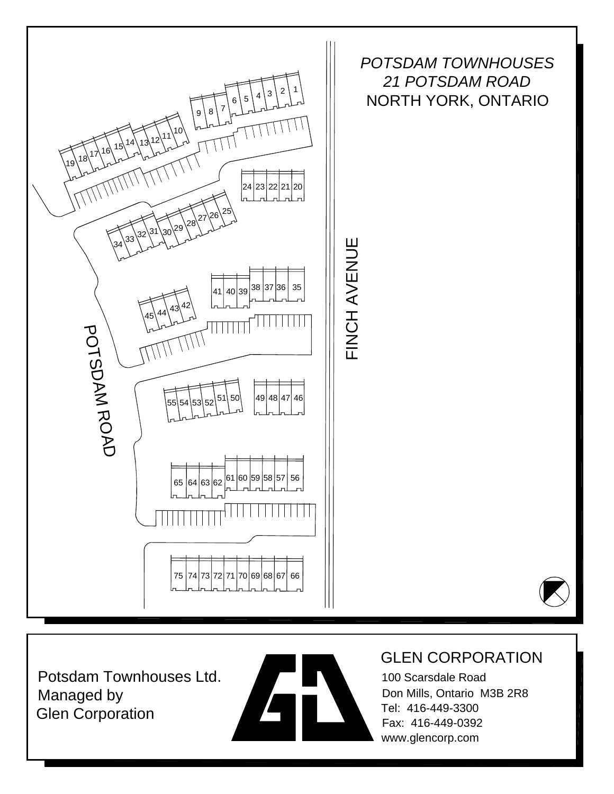

Potsdam Townhouses Ltd. Managed by Glen Corporation



#### GLEN CORPORATION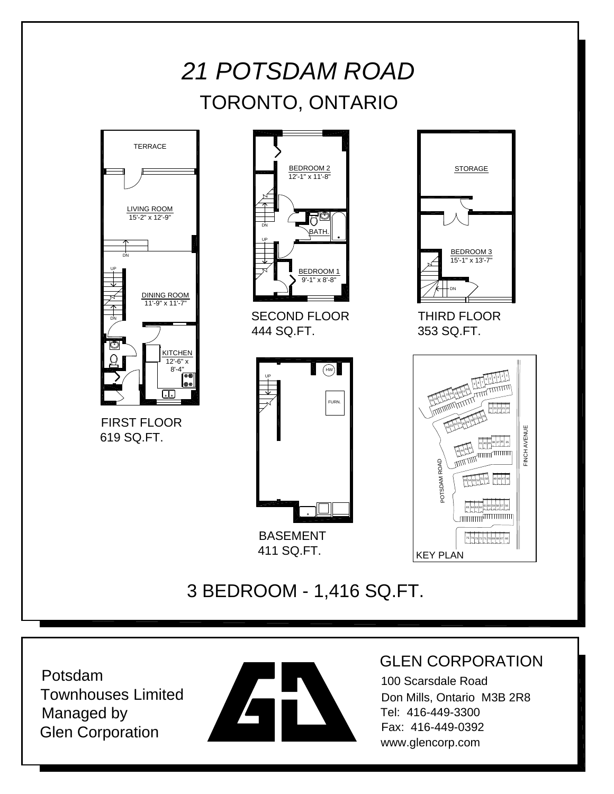## *21 POTSDAM ROAD* TORONTO, ONTARIO





SECOND FLOOR 444 SQ.FT.



411 SQ.FT.





FINCH AVENUE

### 3 BEDROOM - 1,416 SQ.FT.

Potsdam Townhouses Limited Managed by Glen Corporation



#### GLEN CORPORATION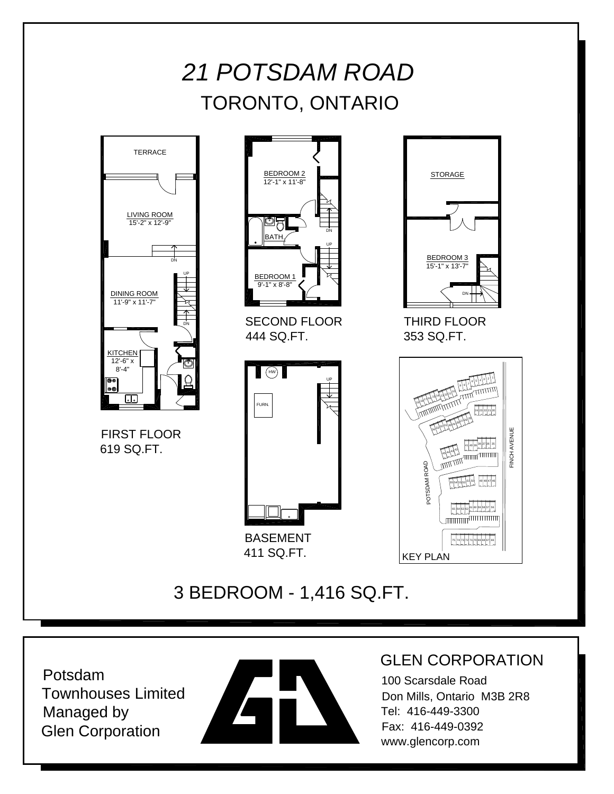## *21 POTSDAM ROAD* TORONTO, ONTARIO



Potsdam Townhouses Limited Managed by Glen Corporation



#### GLEN CORPORATION